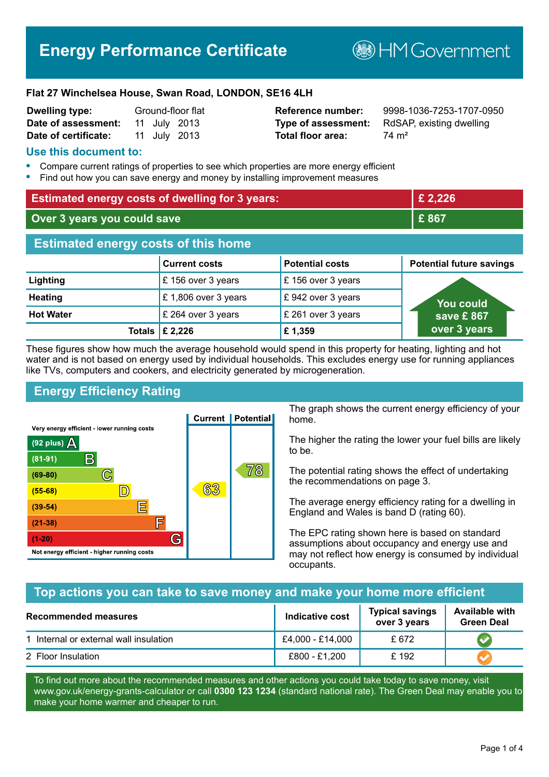# **Energy Performance Certificate**

**B**HM Government

#### **Flat 27 Winchelsea House, Swan Road, LONDON, SE16 4LH**

| <b>Dwelling type:</b> | Ground-floor flat |  |              |
|-----------------------|-------------------|--|--------------|
| Date of assessment:   |                   |  | 11 July 2013 |
| Date of certificate:  |                   |  | 11 July 2013 |

# **Total floor area:** 74 m<sup>2</sup>

**Reference number:** 9998-1036-7253-1707-0950 **Type of assessment:** RdSAP, existing dwelling

## **Use this document to:**

- **•** Compare current ratings of properties to see which properties are more energy efficient
- **•** Find out how you can save energy and money by installing improvement measures

| <b>Estimated energy costs of dwelling for 3 years:</b> |                           | £ 2,226                |                                 |
|--------------------------------------------------------|---------------------------|------------------------|---------------------------------|
| Over 3 years you could save                            |                           | £867                   |                                 |
| <b>Estimated energy costs of this home</b>             |                           |                        |                                 |
|                                                        | <b>Current costs</b>      | <b>Potential costs</b> | <b>Potential future savings</b> |
| Lighting                                               | £156 over 3 years         | £156 over 3 years      |                                 |
| <b>Heating</b>                                         | £1,806 over 3 years       | £942 over 3 years      | <u>Yo</u> u could               |
| <b>Hot Water</b>                                       | £ 264 over 3 years        | £ 261 over 3 years     | save £867                       |
|                                                        | Totals $\mathsf{E}$ 2,226 | £1,359                 | over 3 years                    |

These figures show how much the average household would spend in this property for heating, lighting and hot water and is not based on energy used by individual households. This excludes energy use for running appliances like TVs, computers and cookers, and electricity generated by microgeneration.

# **Energy Efficiency Rating**



The graph shows the current energy efficiency of your home.

The higher the rating the lower your fuel bills are likely to be.

The potential rating shows the effect of undertaking the recommendations on page 3.

The average energy efficiency rating for a dwelling in England and Wales is band D (rating 60).

The EPC rating shown here is based on standard assumptions about occupancy and energy use and may not reflect how energy is consumed by individual occupants.

# **Top actions you can take to save money and make your home more efficient**

| Recommended measures                   | <b>Indicative cost</b> | <b>Typical savings</b><br>over 3 years | <b>Available with</b><br><b>Green Deal</b> |
|----------------------------------------|------------------------|----------------------------------------|--------------------------------------------|
| 1 Internal or external wall insulation | £4,000 - £14,000       | £672                                   |                                            |
| 2 Floor Insulation                     | £800 - £1,200          | £192                                   |                                            |

To find out more about the recommended measures and other actions you could take today to save money, visit www.gov.uk/energy-grants-calculator or call **0300 123 1234** (standard national rate). The Green Deal may enable you to make your home warmer and cheaper to run.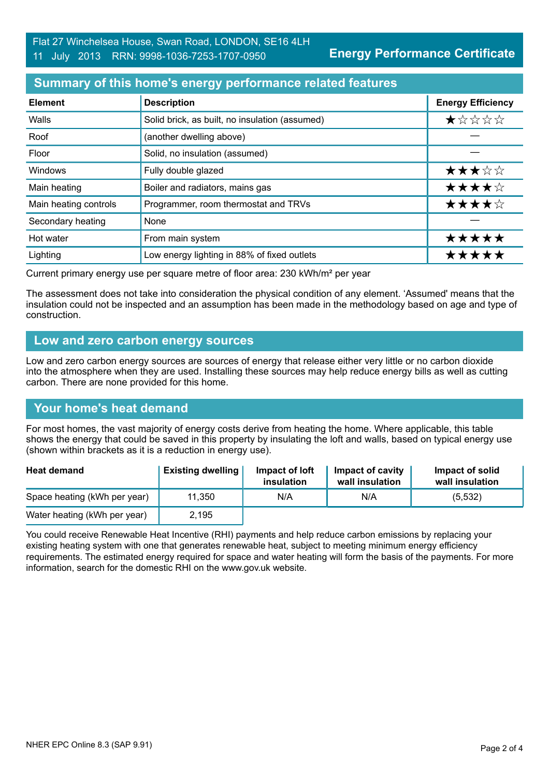# **Summary of this home's energy performance related features**

| <b>Element</b>        | <b>Description</b>                             | <b>Energy Efficiency</b> |
|-----------------------|------------------------------------------------|--------------------------|
| Walls                 | Solid brick, as built, no insulation (assumed) | ★☆☆☆☆                    |
| Roof                  | (another dwelling above)                       |                          |
| Floor                 | Solid, no insulation (assumed)                 |                          |
| Windows               | Fully double glazed                            | ★★★☆☆                    |
| Main heating          | Boiler and radiators, mains gas                | ★★★★☆                    |
| Main heating controls | Programmer, room thermostat and TRVs           | ★★★★☆                    |
| Secondary heating     | None                                           |                          |
| Hot water             | From main system                               | *****                    |
| Lighting              | Low energy lighting in 88% of fixed outlets    | ***                      |

Current primary energy use per square metre of floor area: 230 kWh/m² per year

The assessment does not take into consideration the physical condition of any element. 'Assumed' means that the insulation could not be inspected and an assumption has been made in the methodology based on age and type of construction.

#### **Low and zero carbon energy sources**

Low and zero carbon energy sources are sources of energy that release either very little or no carbon dioxide into the atmosphere when they are used. Installing these sources may help reduce energy bills as well as cutting carbon. There are none provided for this home.

#### **Your home's heat demand**

For most homes, the vast majority of energy costs derive from heating the home. Where applicable, this table shows the energy that could be saved in this property by insulating the loft and walls, based on typical energy use (shown within brackets as it is a reduction in energy use).

| <b>Heat demand</b>           | <b>Existing dwelling</b> | Impact of loft<br>insulation | Impact of cavity<br>wall insulation | Impact of solid<br>wall insulation |
|------------------------------|--------------------------|------------------------------|-------------------------------------|------------------------------------|
| Space heating (kWh per year) | 11,350                   | N/A                          | N/A                                 | (5, 532)                           |
| Water heating (kWh per year) | 2,195                    |                              |                                     |                                    |

You could receive Renewable Heat Incentive (RHI) payments and help reduce carbon emissions by replacing your existing heating system with one that generates renewable heat, subject to meeting minimum energy efficiency requirements. The estimated energy required for space and water heating will form the basis of the payments. For more information, search for the domestic RHI on the www.gov.uk website.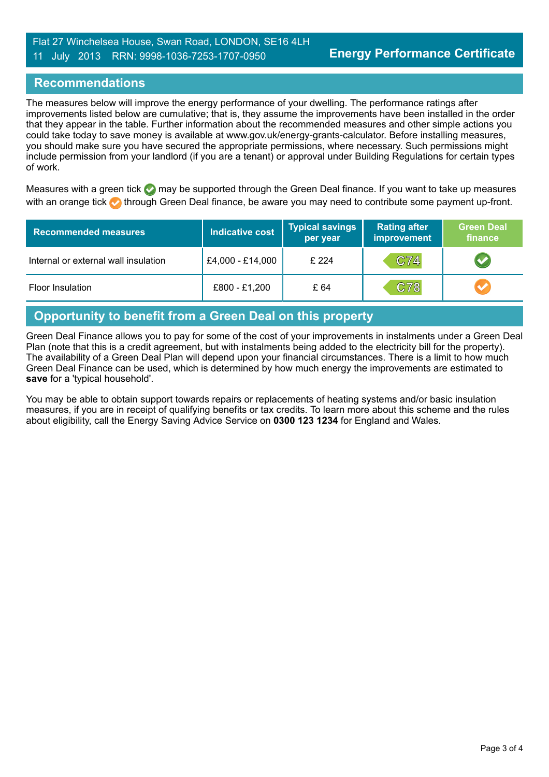# **Recommendations**

The measures below will improve the energy performance of your dwelling. The performance ratings after improvements listed below are cumulative; that is, they assume the improvements have been installed in the order that they appear in the table. Further information about the recommended measures and other simple actions you could take today to save money is available at www.gov.uk/energy-grants-calculator. Before installing measures, you should make sure you have secured the appropriate permissions, where necessary. Such permissions might include permission from your landlord (if you are a tenant) or approval under Building Regulations for certain types of work.

Measures with a green tick  $\bullet$  may be supported through the Green Deal finance. If you want to take up measures with an orange tick **th** through Green Deal finance, be aware you may need to contribute some payment up-front.

| <b>Recommended measures</b>          | <b>Indicative cost</b> | <b>Typical savings</b><br>per year | <b>Rating after</b><br><b>improvement</b> | <b>Green Deal</b><br>finance |
|--------------------------------------|------------------------|------------------------------------|-------------------------------------------|------------------------------|
| Internal or external wall insulation | £4,000 - £14,000       | £ 224                              | C74                                       |                              |
| Floor Insulation                     | £800 - £1,200          | £ 64                               | C78                                       |                              |

# **Opportunity to benefit from a Green Deal on this property**

Green Deal Finance allows you to pay for some of the cost of your improvements in instalments under a Green Deal Plan (note that this is a credit agreement, but with instalments being added to the electricity bill for the property). The availability of a Green Deal Plan will depend upon your financial circumstances. There is a limit to how much Green Deal Finance can be used, which is determined by how much energy the improvements are estimated to **save** for a 'typical household'.

You may be able to obtain support towards repairs or replacements of heating systems and/or basic insulation measures, if you are in receipt of qualifying benefits or tax credits. To learn more about this scheme and the rules about eligibility, call the Energy Saving Advice Service on **0300 123 1234** for England and Wales.